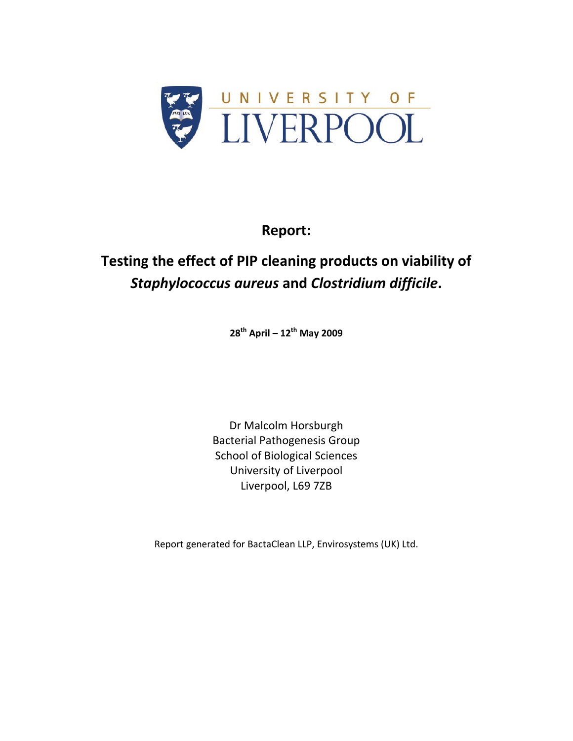

## **Report:**

# **Testing the effect of PIP cleaning products on viability of** *Staphylococcus aureus* **and** *Clostridium difficile***.**

**28th April – 12th May 2009**

Dr Malcolm Horsburgh Bacterial Pathogenesis Group School of Biological Sciences University of Liverpool Liverpool, L69 7ZB

Report generated for BactaClean LLP, Envirosystems (UK) Ltd.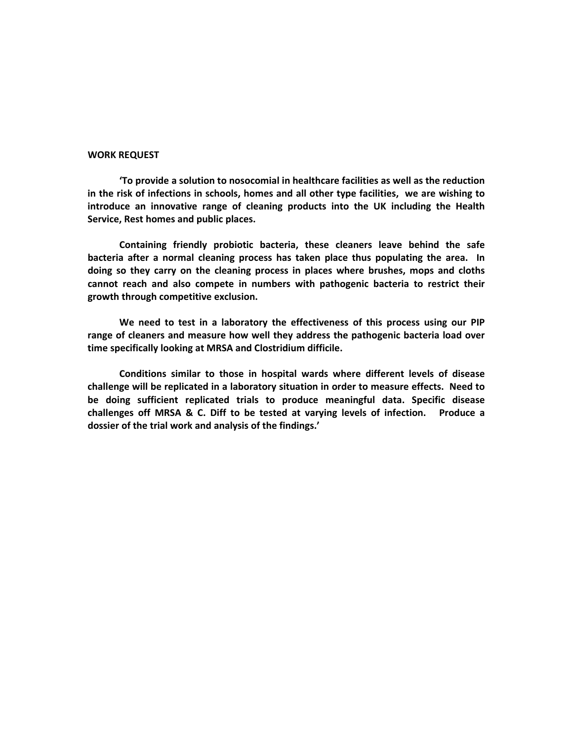#### **WORK REQUEST**

**'To provide a solution to nosocomial in healthcare facilities as well as the reduction in the risk of infections in schools, homes and all other type facilities, we are wishing to introduce an innovative range of cleaning products into the UK including the Health Service, Rest homes and public places.** 

**Containing friendly probiotic bacteria, these cleaners leave behind the safe bacteria after a normal cleaning process has taken place thus populating the area. In doing so they carry on the cleaning process in places where brushes, mops and cloths cannot reach and also compete in numbers with pathogenic bacteria to restrict their growth through competitive exclusion.** 

**We need to test in a laboratory the effectiveness of this process using our PIP range of cleaners and measure how well they address the pathogenic bacteria load over time specifically looking at MRSA and Clostridium difficile.** 

**Conditions similar to those in hospital wards where different levels of disease challenge will be replicated in a laboratory situation in order to measure effects. Need to be doing sufficient replicated trials to produce meaningful data. Specific disease challenges off MRSA & C. Diff to be tested at varying levels of infection. Produce a dossier of the trial work and analysis of the findings.'**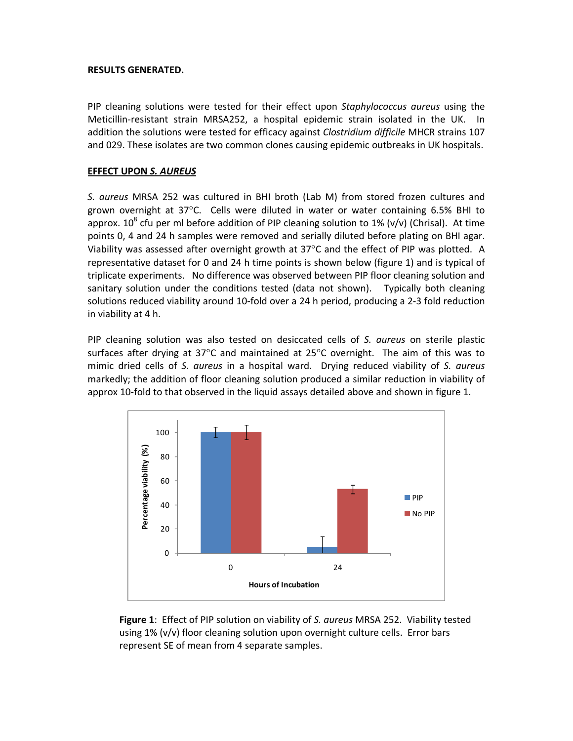#### **RESULTS GENERATED.**

PIP cleaning solutions were tested for their effect upon *Staphylococcus aureus* using the Meticillin-resistant strain MRSA252, a hospital epidemic strain isolated in the UK. In addition the solutions were tested for efficacy against *Clostridium difficile* MHCR strains 107 and 029. These isolates are two common clones causing epidemic outbreaks in UK hospitals.

#### **EFFECT UPON** *S. AUREUS*

*S. aureus* MRSA 252 was cultured in BHI broth (Lab M) from stored frozen cultures and grown overnight at  $37^{\circ}$ C. Cells were diluted in water or water containing 6.5% BHI to approx.  $10^8$  cfu per ml before addition of PIP cleaning solution to 1% (v/v) (Chrisal). At time points 0, 4 and 24 h samples were removed and serially diluted before plating on BHI agar. Viability was assessed after overnight growth at 37°C and the effect of PIP was plotted. A representative dataset for 0 and 24 h time points is shown below (figure 1) and is typical of triplicate experiments. No difference was observed between PIP floor cleaning solution and sanitary solution under the conditions tested (data not shown). Typically both cleaning solutions reduced viability around 10‐fold over a 24 h period, producing a 2‐3 fold reduction in viability at 4 h.

PIP cleaning solution was also tested on desiccated cells of *S. aureus* on sterile plastic surfaces after drying at 37 $\degree$ C and maintained at 25 $\degree$ C overnight. The aim of this was to mimic dried cells of *S. aureus* in a hospital ward. Drying reduced viability of *S. aureus* markedly; the addition of floor cleaning solution produced a similar reduction in viability of approx 10‐fold to that observed in the liquid assays detailed above and shown in figure 1.



**Figure 1**: Effect of PIP solution on viability of *S. aureus* MRSA 252. Viability tested using 1% (v/v) floor cleaning solution upon overnight culture cells. Error bars represent SE of mean from 4 separate samples.